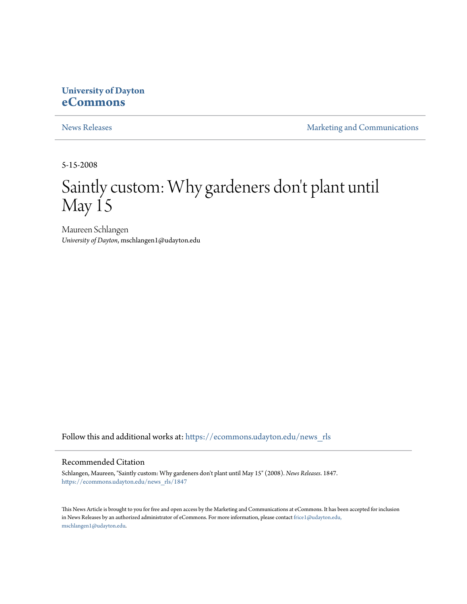### **University of Dayton [eCommons](https://ecommons.udayton.edu?utm_source=ecommons.udayton.edu%2Fnews_rls%2F1847&utm_medium=PDF&utm_campaign=PDFCoverPages)**

[News Releases](https://ecommons.udayton.edu/news_rls?utm_source=ecommons.udayton.edu%2Fnews_rls%2F1847&utm_medium=PDF&utm_campaign=PDFCoverPages) **[Marketing and Communications](https://ecommons.udayton.edu/mktg_com?utm_source=ecommons.udayton.edu%2Fnews_rls%2F1847&utm_medium=PDF&utm_campaign=PDFCoverPages)** 

5-15-2008

# Saintly custom: Why gardeners don't plant until May 15

Maureen Schlangen *University of Dayton*, mschlangen1@udayton.edu

Follow this and additional works at: [https://ecommons.udayton.edu/news\\_rls](https://ecommons.udayton.edu/news_rls?utm_source=ecommons.udayton.edu%2Fnews_rls%2F1847&utm_medium=PDF&utm_campaign=PDFCoverPages)

#### Recommended Citation

Schlangen, Maureen, "Saintly custom: Why gardeners don't plant until May 15" (2008). *News Releases*. 1847. [https://ecommons.udayton.edu/news\\_rls/1847](https://ecommons.udayton.edu/news_rls/1847?utm_source=ecommons.udayton.edu%2Fnews_rls%2F1847&utm_medium=PDF&utm_campaign=PDFCoverPages)

This News Article is brought to you for free and open access by the Marketing and Communications at eCommons. It has been accepted for inclusion in News Releases by an authorized administrator of eCommons. For more information, please contact [frice1@udayton.edu,](mailto:frice1@udayton.edu,%20mschlangen1@udayton.edu) [mschlangen1@udayton.edu.](mailto:frice1@udayton.edu,%20mschlangen1@udayton.edu)